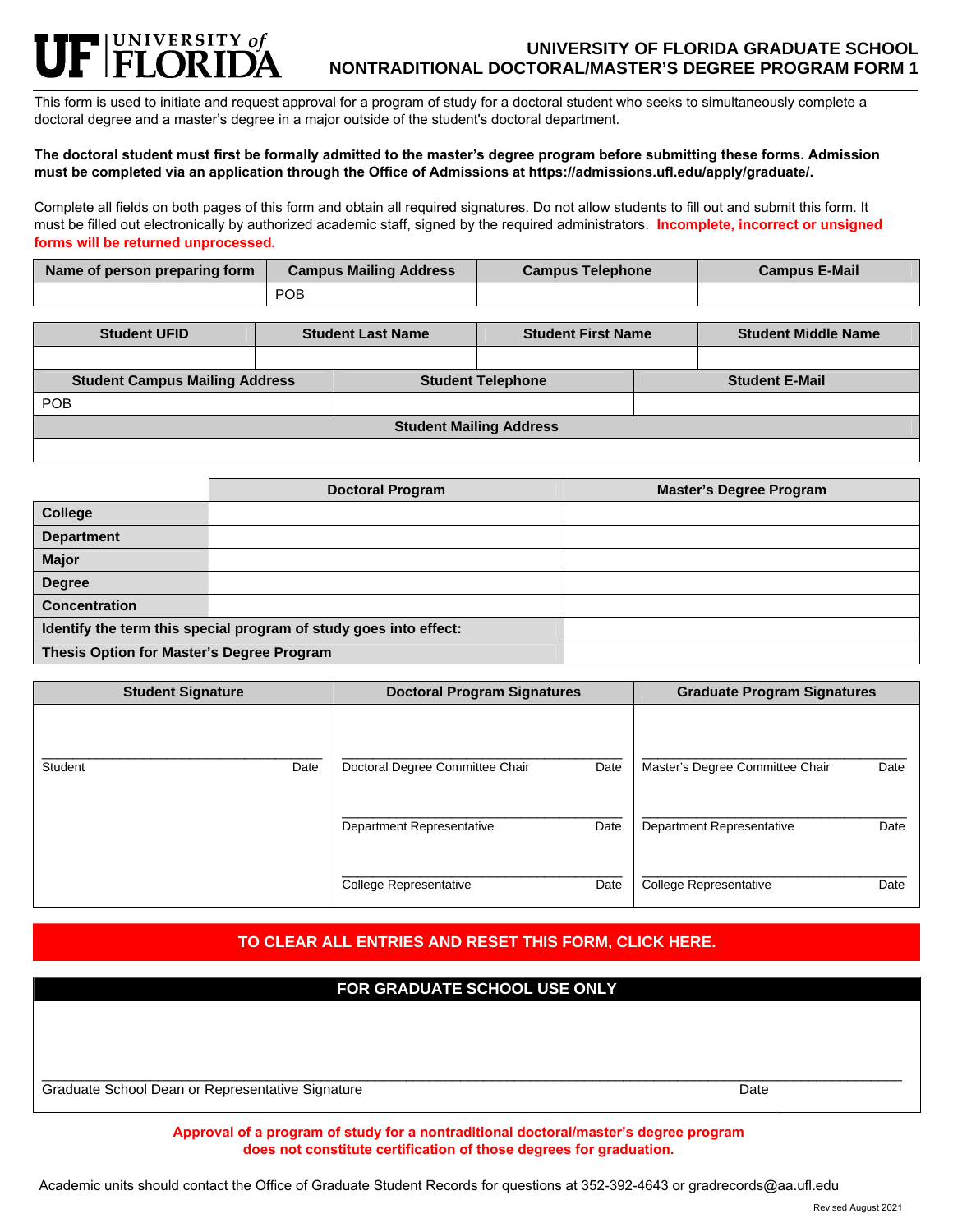## FINIVERSITY of **UNIVERSITY OF FLORIDA GRADUATE SCHOOL NONTRADITIONAL DOCTORAL/MASTER'S DEGREE PROGRAM FORM 1**

This form is used to initiate and request approval for a program of study for a doctoral student who seeks to simultaneously complete a doctoral degree and a master's degree in a major outside of the student's doctoral department.

## **The doctoral student must first be formally admitted to the master's degree program before submitting these forms. Admission must be completed via an application through the Office of Admissions at https://admissions.ufl.edu/apply/graduate/.**

Complete all fields on both pages of this form and obtain all required signatures. Do not allow students to fill out and submit this form. It must be filled out electronically by authorized academic staff, signed by the required administrators. **Incomplete, incorrect or unsigned forms will be returned unprocessed.** 

| Name of person preparing form | <b>Campus Mailing Address</b> | <b>Campus Telephone</b> | <b>Campus E-Mail</b> |
|-------------------------------|-------------------------------|-------------------------|----------------------|
|                               | <b>POB</b>                    |                         |                      |

| <b>Student UFID</b>                   |  | <b>Student Last Name</b> |                          | <b>Student First Name</b><br><b>Student Middle Name</b> |                       |
|---------------------------------------|--|--------------------------|--------------------------|---------------------------------------------------------|-----------------------|
|                                       |  |                          |                          |                                                         |                       |
| <b>Student Campus Mailing Address</b> |  |                          | <b>Student Telephone</b> |                                                         | <b>Student E-Mail</b> |
| <b>POB</b>                            |  |                          |                          |                                                         |                       |
| <b>Student Mailing Address</b>        |  |                          |                          |                                                         |                       |
|                                       |  |                          |                          |                                                         |                       |

|                                                                   | <b>Doctoral Program</b> | <b>Master's Degree Program</b> |
|-------------------------------------------------------------------|-------------------------|--------------------------------|
| College                                                           |                         |                                |
| <b>Department</b>                                                 |                         |                                |
| <b>Major</b>                                                      |                         |                                |
| <b>Degree</b>                                                     |                         |                                |
| <b>Concentration</b>                                              |                         |                                |
| Identify the term this special program of study goes into effect: |                         |                                |
| Thesis Option for Master's Degree Program                         |                         |                                |

| <b>Student Signature</b> |      | <b>Doctoral Program Signatures</b> |      | <b>Graduate Program Signatures</b> |      |  |
|--------------------------|------|------------------------------------|------|------------------------------------|------|--|
| Student                  | Date | Doctoral Degree Committee Chair    | Date | Master's Degree Committee Chair    | Date |  |
|                          |      | Department Representative          | Date | Department Representative          | Date |  |
|                          |      | <b>College Representative</b>      | Date | College Representative             | Date |  |

# **TO CLEAR ALL ENTRIES AND RESET THIS FORM, CLICK HERE.**

| FOR GRADUATE SCHOOL USE ONLY                     |      |
|--------------------------------------------------|------|
|                                                  |      |
|                                                  |      |
|                                                  | Date |
| Graduate School Dean or Representative Signature |      |

**Approval of a program of study for a nontraditional doctoral/master's degree program does not constitute certification of those degrees for graduation.** 

Academic units should contact the Office of Graduate Student Records for questions at 352-392-4643 or gradrecords@aa.ufl.edu